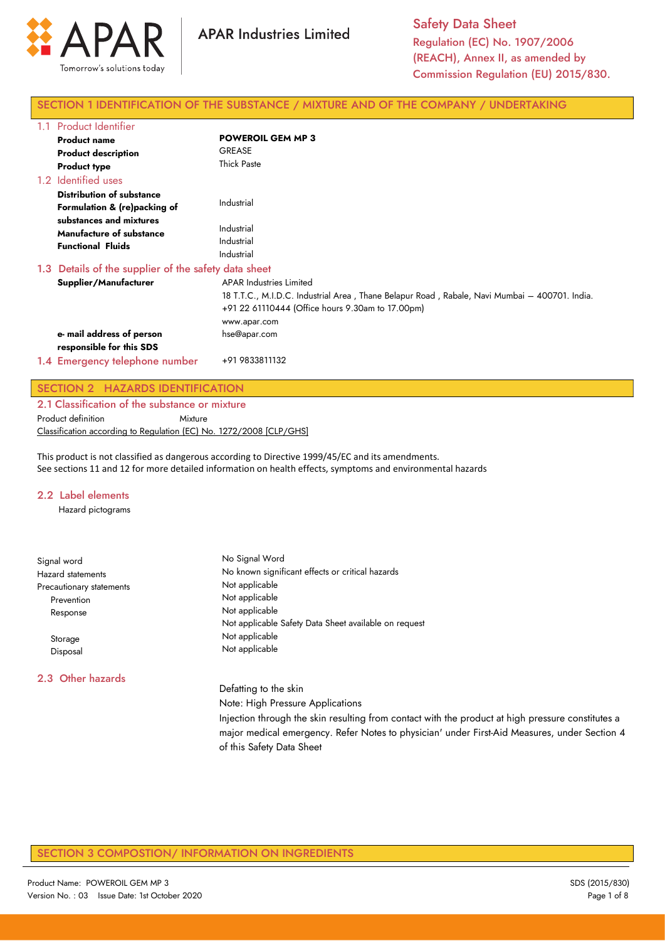

# SECTION 1 IDENTIFICATION OF THE SUBSTANCE / MIXTURE AND OF THE COMPANY / UNDERTAKING

| 1.1                                                  | <b>Product Identifier</b>                                                       |                                                                                                                                                                                                     |  |
|------------------------------------------------------|---------------------------------------------------------------------------------|-----------------------------------------------------------------------------------------------------------------------------------------------------------------------------------------------------|--|
|                                                      | <b>Product name</b>                                                             | <b>POWEROIL GEM MP 3</b>                                                                                                                                                                            |  |
|                                                      | <b>Product description</b>                                                      | <b>GREASE</b>                                                                                                                                                                                       |  |
|                                                      | <b>Product type</b>                                                             | <b>Thick Paste</b>                                                                                                                                                                                  |  |
|                                                      | 1.2 Identified uses                                                             |                                                                                                                                                                                                     |  |
|                                                      | <b>Distribution of substance</b><br>Formulation & (re)packing of                | Industrial                                                                                                                                                                                          |  |
|                                                      | substances and mixtures<br>Manufacture of substance<br><b>Functional Fluids</b> | Industrial<br>Industrial<br>Industrial                                                                                                                                                              |  |
| 1.3 Details of the supplier of the safety data sheet |                                                                                 |                                                                                                                                                                                                     |  |
|                                                      | Supplier/Manufacturer                                                           | <b>APAR Industries Limited</b><br>18 T.T.C., M.I.D.C. Industrial Area, Thane Belapur Road, Rabale, Navi Mumbai – 400701. India.<br>+91 22 61110444 (Office hours 9.30am to 17.00pm)<br>www.apar.com |  |
|                                                      | e- mail address of person<br>responsible for this SDS                           | hse@apar.com                                                                                                                                                                                        |  |
|                                                      | 1.4 Emergency telephone number                                                  | +91 9833811132                                                                                                                                                                                      |  |

# SECTION 2 HAZARDS IDENTIFICATION

2.1 Classification of the substance or mixture Product definition **Mixture** Classification according to Regulation (EC) No. 1272/2008 [CLP/GHS]

This product is not classified as dangerous according to Directive 1999/45/EC and its amendments. See sections 11 and 12 for more detailed information on health effects, symptoms and environmental hazards

#### 2.2 Label elements

Hazard pictograms

| Signal word              | No Signal Word                                                                                    |  |  |  |
|--------------------------|---------------------------------------------------------------------------------------------------|--|--|--|
| <b>Hazard statements</b> | No known significant effects or critical hazards                                                  |  |  |  |
| Precautionary statements | Not applicable                                                                                    |  |  |  |
| Prevention               | Not applicable                                                                                    |  |  |  |
| Response                 | Not applicable                                                                                    |  |  |  |
|                          | Not applicable Safety Data Sheet available on request                                             |  |  |  |
| Storage                  | Not applicable                                                                                    |  |  |  |
| Disposal                 | Not applicable                                                                                    |  |  |  |
| 2.3 Other hazards        |                                                                                                   |  |  |  |
|                          | Defatting to the skin                                                                             |  |  |  |
|                          | Note: High Pressure Applications                                                                  |  |  |  |
|                          | Injection through the skin resulting from contact with the product at high pressure constitutes a |  |  |  |
|                          | major medical emergency. Refer Notes to physician' under First-Aid Measures, under Section 4      |  |  |  |
|                          | of this Safety Data Sheet                                                                         |  |  |  |

# SECTION 3 COMPOSTION/ INFORMATION ON INGREDIENTS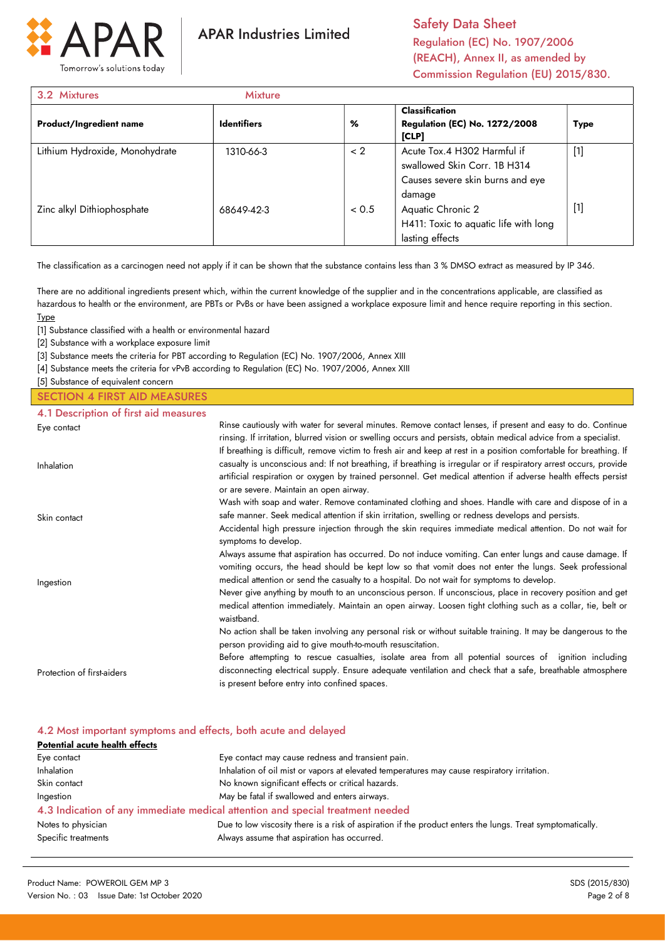

Safety Data Sheet Regulation (EC) No. 1907/2006 (REACH), Annex II, as amended by Commission Regulation (EU) 2015/830.

| 3.2 Mixtures                   | <b>Mixture</b>     |          |                                                                                                           |             |
|--------------------------------|--------------------|----------|-----------------------------------------------------------------------------------------------------------|-------------|
| <b>Product/Ingredient name</b> | <b>Identifiers</b> | %        | <b>Classification</b><br><b>Regulation (EC) No. 1272/2008</b><br>[CLP]                                    | <b>Type</b> |
| Lithium Hydroxide, Monohydrate | 1310-66-3          | $\leq$ 2 | Acute Tox.4 H302 Harmful if<br>swallowed Skin Corr. 1B H314<br>Causes severe skin burns and eye<br>damage | $[1]$       |
| Zinc alkyl Dithiophosphate     | 68649-42-3         | < 0.5    | Aquatic Chronic 2<br>H411: Toxic to aquatic life with long<br>lasting effects                             | $[1]$       |

The classification as a carcinogen need not apply if it can be shown that the substance contains less than 3 % DMSO extract as measured by IP 346.

There are no additional ingredients present which, within the current knowledge of the supplier and in the concentrations applicable, are classified as hazardous to health or the environment, are PBTs or PvBs or have been assigned a workplace exposure limit and hence require reporting in this section. Type

[1] Substance classified with a health or environmental hazard

[2] Substance with a workplace exposure limit

[3] Substance meets the criteria for PBT according to Regulation (EC) No. 1907/2006, Annex XIII

[4] Substance meets the criteria for vPvB according to Regulation (EC) No. 1907/2006, Annex XIII

[5] Substance of equivalent concern

### SECTION 4 FIRST AID MEASURES

| 4.1 Description of first aid measures |                                                                                                                                                                                                                                                                                                                                                                                                                                                                                                                                                             |
|---------------------------------------|-------------------------------------------------------------------------------------------------------------------------------------------------------------------------------------------------------------------------------------------------------------------------------------------------------------------------------------------------------------------------------------------------------------------------------------------------------------------------------------------------------------------------------------------------------------|
| Eye contact                           | Rinse cautiously with water for several minutes. Remove contact lenses, if present and easy to do. Continue<br>rinsing. If irritation, blurred vision or swelling occurs and persists, obtain medical advice from a specialist.<br>If breathing is difficult, remove victim to fresh air and keep at rest in a position comfortable for breathing. If                                                                                                                                                                                                       |
| Inhalation                            | casualty is unconscious and: If not breathing, if breathing is irregular or if respiratory arrest occurs, provide<br>artificial respiration or oxygen by trained personnel. Get medical attention if adverse health effects persist<br>or are severe. Maintain an open airway.                                                                                                                                                                                                                                                                              |
| Skin contact                          | Wash with soap and water. Remove contaminated clothing and shoes. Handle with care and dispose of in a<br>safe manner. Seek medical attention if skin irritation, swelling or redness develops and persists.<br>Accidental high pressure injection through the skin requires immediate medical attention. Do not wait for<br>symptoms to develop.                                                                                                                                                                                                           |
| Ingestion                             | Always assume that aspiration has occurred. Do not induce vomiting. Can enter lungs and cause damage. If<br>vomiting occurs, the head should be kept low so that vomit does not enter the lungs. Seek professional<br>medical attention or send the casualty to a hospital. Do not wait for symptoms to develop.<br>Never give anything by mouth to an unconscious person. If unconscious, place in recovery position and get<br>medical attention immediately. Maintain an open airway. Loosen tight clothing such as a collar, tie, belt or<br>waistband. |
|                                       | No action shall be taken involving any personal risk or without suitable training. It may be dangerous to the<br>person providing aid to give mouth-to-mouth resuscitation.                                                                                                                                                                                                                                                                                                                                                                                 |
| Protection of first-aiders            | Before attempting to rescue casualties, isolate area from all potential sources of ignition including<br>disconnecting electrical supply. Ensure adequate ventilation and check that a safe, breathable atmosphere<br>is present before entry into confined spaces.                                                                                                                                                                                                                                                                                         |

#### 4.2 Most important symptoms and effects, both acute and delayed

| Potential acute health effects |                                                                                                            |
|--------------------------------|------------------------------------------------------------------------------------------------------------|
| Eye contact                    | Eye contact may cause redness and transient pain.                                                          |
| Inhalation                     | Inhalation of oil mist or vapors at elevated temperatures may cause respiratory irritation.                |
| Skin contact                   | No known significant effects or critical hazards.                                                          |
| Ingestion                      | May be fatal if swallowed and enters airways.                                                              |
|                                | 4.3 Indication of any immediate medical attention and special treatment needed                             |
| Notes to physician             | Due to low viscosity there is a risk of aspiration if the product enters the lungs. Treat symptomatically. |
| Specific treatments            | Always assume that aspiration has occurred.                                                                |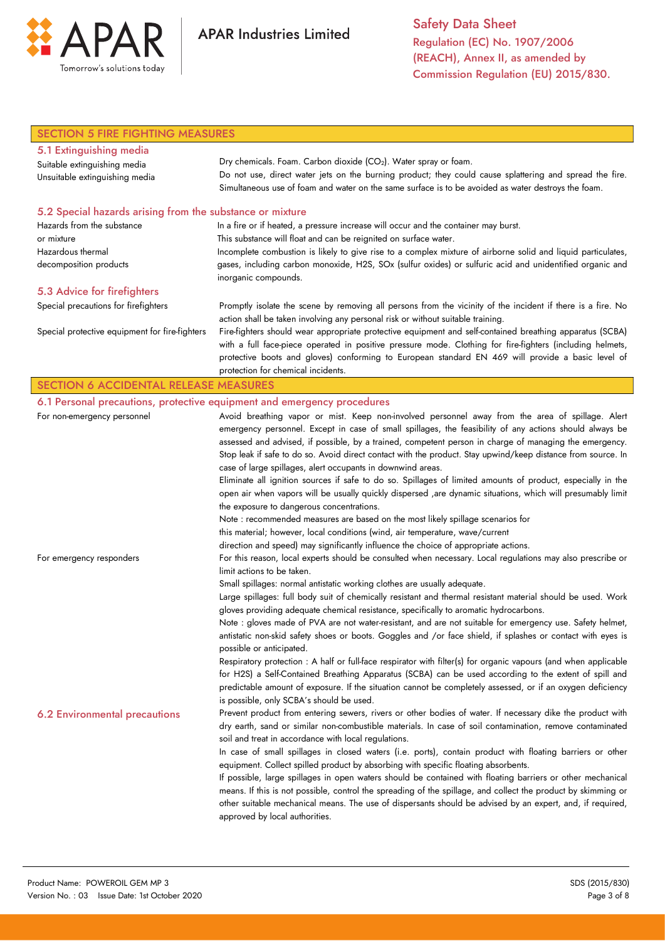

Safety Data Sheet Regulation (EC) No. 1907/2006 (REACH), Annex II, as amended by Commission Regulation (EU) 2015/830.

| <b>SECTION 5 FIRE FIGHTING MEASURES</b>                   |                                                                                                                                                                                                 |  |  |  |
|-----------------------------------------------------------|-------------------------------------------------------------------------------------------------------------------------------------------------------------------------------------------------|--|--|--|
| 5.1 Extinguishing media                                   |                                                                                                                                                                                                 |  |  |  |
| Suitable extinguishing media                              | Dry chemicals. Foam. Carbon dioxide (CO2). Water spray or foam.                                                                                                                                 |  |  |  |
| Unsuitable extinguishing media                            | Do not use, direct water jets on the burning product; they could cause splattering and spread the fire.                                                                                         |  |  |  |
|                                                           | Simultaneous use of foam and water on the same surface is to be avoided as water destroys the foam.                                                                                             |  |  |  |
| 5.2 Special hazards arising from the substance or mixture |                                                                                                                                                                                                 |  |  |  |
| Hazards from the substance                                | In a fire or if heated, a pressure increase will occur and the container may burst.                                                                                                             |  |  |  |
| or mixture                                                | This substance will float and can be reignited on surface water.                                                                                                                                |  |  |  |
| Hazardous thermal                                         | Incomplete combustion is likely to give rise to a complex mixture of airborne solid and liquid particulates,                                                                                    |  |  |  |
| decomposition products                                    | gases, including carbon monoxide, H2S, SOx (sulfur oxides) or sulfuric acid and unidentified organic and<br>inorganic compounds.                                                                |  |  |  |
| 5.3 Advice for firefighters                               |                                                                                                                                                                                                 |  |  |  |
| Special precautions for firefighters                      | Promptly isolate the scene by removing all persons from the vicinity of the incident if there is a fire. No                                                                                     |  |  |  |
|                                                           | action shall be taken involving any personal risk or without suitable training.                                                                                                                 |  |  |  |
| Special protective equipment for fire-fighters            | Fire-fighters should wear appropriate protective equipment and self-contained breathing apparatus (SCBA)                                                                                        |  |  |  |
|                                                           | with a full face-piece operated in positive pressure mode. Clothing for fire-fighters (including helmets,                                                                                       |  |  |  |
|                                                           | protective boots and gloves) conforming to European standard EN 469 will provide a basic level of                                                                                               |  |  |  |
|                                                           | protection for chemical incidents.                                                                                                                                                              |  |  |  |
| <b>SECTION 6 ACCIDENTAL RELEASE MEASURES</b>              |                                                                                                                                                                                                 |  |  |  |
|                                                           | 6.1 Personal precautions, protective equipment and emergency procedures                                                                                                                         |  |  |  |
| For non-emergency personnel                               | Avoid breathing vapor or mist. Keep non-involved personnel away from the area of spillage. Alert                                                                                                |  |  |  |
|                                                           | emergency personnel. Except in case of small spillages, the feasibility of any actions should always be                                                                                         |  |  |  |
|                                                           | assessed and advised, if possible, by a trained, competent person in charge of managing the emergency.                                                                                          |  |  |  |
|                                                           | Stop leak if safe to do so. Avoid direct contact with the product. Stay upwind/keep distance from source. In                                                                                    |  |  |  |
|                                                           | case of large spillages, alert occupants in downwind areas.                                                                                                                                     |  |  |  |
|                                                           | Eliminate all ignition sources if safe to do so. Spillages of limited amounts of product, especially in the                                                                                     |  |  |  |
|                                                           | open air when vapors will be usually quickly dispersed , are dynamic situations, which will presumably limit<br>the exposure to dangerous concentrations.                                       |  |  |  |
|                                                           | Note : recommended measures are based on the most likely spillage scenarios for                                                                                                                 |  |  |  |
|                                                           | this material; however, local conditions (wind, air temperature, wave/current                                                                                                                   |  |  |  |
|                                                           | direction and speed) may significantly influence the choice of appropriate actions.                                                                                                             |  |  |  |
| For emergency responders                                  | For this reason, local experts should be consulted when necessary. Local regulations may also prescribe or                                                                                      |  |  |  |
|                                                           | limit actions to be taken.                                                                                                                                                                      |  |  |  |
|                                                           | Small spillages: normal antistatic working clothes are usually adequate.                                                                                                                        |  |  |  |
|                                                           | Large spillages: full body suit of chemically resistant and thermal resistant material should be used. Work                                                                                     |  |  |  |
|                                                           | gloves providing adequate chemical resistance, specifically to aromatic hydrocarbons.                                                                                                           |  |  |  |
|                                                           | Note : gloves made of PVA are not water-resistant, and are not suitable for emergency use. Safety helmet,                                                                                       |  |  |  |
|                                                           | antistatic non-skid safety shoes or boots. Goggles and /or face shield, if splashes or contact with eyes is                                                                                     |  |  |  |
|                                                           | possible or anticipated.                                                                                                                                                                        |  |  |  |
|                                                           | Respiratory protection : A half or full-face respirator with filter(s) for organic vapours (and when applicable                                                                                 |  |  |  |
|                                                           | for H2S) a Self-Contained Breathing Apparatus (SCBA) can be used according to the extent of spill and                                                                                           |  |  |  |
|                                                           | predictable amount of exposure. If the situation cannot be completely assessed, or if an oxygen deficiency                                                                                      |  |  |  |
|                                                           | is possible, only SCBA's should be used.                                                                                                                                                        |  |  |  |
| <b>6.2 Environmental precautions</b>                      | Prevent product from entering sewers, rivers or other bodies of water. If necessary dike the product with                                                                                       |  |  |  |
|                                                           | dry earth, sand or similar non-combustible materials. In case of soil contamination, remove contaminated                                                                                        |  |  |  |
|                                                           | soil and treat in accordance with local regulations.                                                                                                                                            |  |  |  |
|                                                           | In case of small spillages in closed waters (i.e. ports), contain product with floating barriers or other<br>equipment. Collect spilled product by absorbing with specific floating absorbents. |  |  |  |
|                                                           | If possible, large spillages in open waters should be contained with floating barriers or other mechanical                                                                                      |  |  |  |
|                                                           | means. If this is not possible, control the spreading of the spillage, and collect the product by skimming or                                                                                   |  |  |  |
|                                                           | other suitable mechanical means. The use of dispersants should be advised by an expert, and, if required,                                                                                       |  |  |  |
|                                                           | approved by local authorities.                                                                                                                                                                  |  |  |  |
|                                                           |                                                                                                                                                                                                 |  |  |  |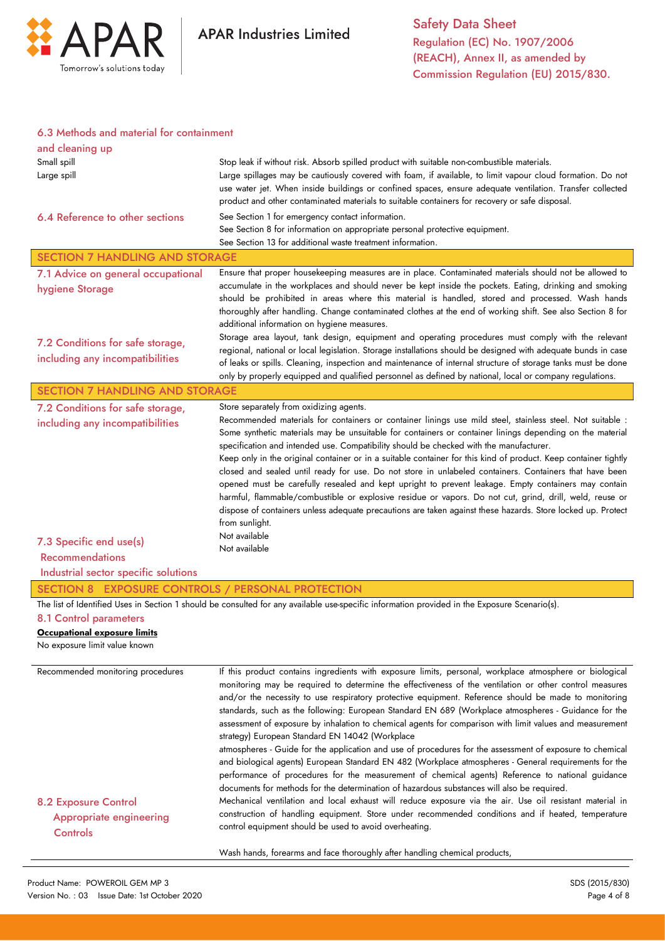

### 6.3 Methods and material for containment

| and cleaning up                                   |                                                                                                                                                                                                                  |  |  |
|---------------------------------------------------|------------------------------------------------------------------------------------------------------------------------------------------------------------------------------------------------------------------|--|--|
| Small spill                                       | Stop leak if without risk. Absorb spilled product with suitable non-combustible materials.                                                                                                                       |  |  |
| Large spill                                       | Large spillages may be cautiously covered with foam, if available, to limit vapour cloud formation. Do not                                                                                                       |  |  |
|                                                   | use water jet. When inside buildings or confined spaces, ensure adequate ventilation. Transfer collected                                                                                                         |  |  |
|                                                   | product and other contaminated materials to suitable containers for recovery or safe disposal.                                                                                                                   |  |  |
| 6.4 Reference to other sections                   | See Section 1 for emergency contact information.                                                                                                                                                                 |  |  |
|                                                   | See Section 8 for information on appropriate personal protective equipment.                                                                                                                                      |  |  |
|                                                   | See Section 13 for additional waste treatment information.                                                                                                                                                       |  |  |
| <b>SECTION 7 HANDLING AND STORAGE</b>             |                                                                                                                                                                                                                  |  |  |
| 7.1 Advice on general occupational                | Ensure that proper housekeeping measures are in place. Contaminated materials should not be allowed to<br>accumulate in the workplaces and should never be kept inside the pockets. Eating, drinking and smoking |  |  |
| hygiene Storage                                   | should be prohibited in areas where this material is handled, stored and processed. Wash hands                                                                                                                   |  |  |
|                                                   | thoroughly after handling. Change contaminated clothes at the end of working shift. See also Section 8 for                                                                                                       |  |  |
|                                                   | additional information on hygiene measures.                                                                                                                                                                      |  |  |
| 7.2 Conditions for safe storage,                  | Storage area layout, tank design, equipment and operating procedures must comply with the relevant                                                                                                               |  |  |
| including any incompatibilities                   | regional, national or local legislation. Storage installations should be designed with adequate bunds in case                                                                                                    |  |  |
|                                                   | of leaks or spills. Cleaning, inspection and maintenance of internal structure of storage tanks must be done                                                                                                     |  |  |
|                                                   | only by properly equipped and qualified personnel as defined by national, local or company regulations.                                                                                                          |  |  |
| <b>SECTION 7 HANDLING AND STORAGE</b>             |                                                                                                                                                                                                                  |  |  |
| 7.2 Conditions for safe storage,                  | Store separately from oxidizing agents.<br>Recommended materials for containers or container linings use mild steel, stainless steel. Not suitable :                                                             |  |  |
| including any incompatibilities                   | Some synthetic materials may be unsuitable for containers or container linings depending on the material                                                                                                         |  |  |
|                                                   | specification and intended use. Compatibility should be checked with the manufacturer.                                                                                                                           |  |  |
|                                                   | Keep only in the original container or in a suitable container for this kind of product. Keep container tightly                                                                                                  |  |  |
|                                                   | closed and sealed until ready for use. Do not store in unlabeled containers. Containers that have been                                                                                                           |  |  |
|                                                   | opened must be carefully resealed and kept upright to prevent leakage. Empty containers may contain                                                                                                              |  |  |
|                                                   | harmful, flammable/combustible or explosive residue or vapors. Do not cut, grind, drill, weld, reuse or                                                                                                          |  |  |
|                                                   | dispose of containers unless adequate precautions are taken against these hazards. Store locked up. Protect<br>from sunlight.                                                                                    |  |  |
|                                                   | Not available                                                                                                                                                                                                    |  |  |
| 7.3 Specific end use(s)                           | Not available                                                                                                                                                                                                    |  |  |
| <b>Recommendations</b>                            |                                                                                                                                                                                                                  |  |  |
| Industrial sector specific solutions              |                                                                                                                                                                                                                  |  |  |
| SECTION 8 EXPOSURE CONTROLS / PERSONAL PROTECTION |                                                                                                                                                                                                                  |  |  |
|                                                   |                                                                                                                                                                                                                  |  |  |
|                                                   | The list of Identified Uses in Section 1 should be consulted for any available use-specific information provided in the Exposure Scenario(s).                                                                    |  |  |
| 8.1 Control parameters                            |                                                                                                                                                                                                                  |  |  |
| Occupational exposure limits                      |                                                                                                                                                                                                                  |  |  |
| No exposure limit value known                     |                                                                                                                                                                                                                  |  |  |
|                                                   |                                                                                                                                                                                                                  |  |  |
| Recommended monitoring procedures                 | If this product contains ingredients with exposure limits, personal, workplace atmosphere or biological                                                                                                          |  |  |
|                                                   | monitoring may be required to determine the effectiveness of the ventilation or other control measures                                                                                                           |  |  |
|                                                   | and/or the necessity to use respiratory protective equipment. Reference should be made to monitoring<br>standards, such as the following: European Standard EN 689 (Workplace atmospheres - Guidance for the     |  |  |
|                                                   | assessment of exposure by inhalation to chemical agents for comparison with limit values and measurement                                                                                                         |  |  |
|                                                   | strategy) European Standard EN 14042 (Workplace                                                                                                                                                                  |  |  |
|                                                   | atmospheres - Guide for the application and use of procedures for the assessment of exposure to chemical                                                                                                         |  |  |
|                                                   | and biological agents) European Standard EN 482 (Workplace atmospheres - General requirements for the                                                                                                            |  |  |
|                                                   | performance of procedures for the measurement of chemical agents) Reference to national guidance                                                                                                                 |  |  |
|                                                   | documents for methods for the determination of hazardous substances will also be required.                                                                                                                       |  |  |
| <b>8.2 Exposure Control</b>                       | Mechanical ventilation and local exhaust will reduce exposure via the air. Use oil resistant material in<br>construction of handling equipment. Store under recommended conditions and if heated, temperature    |  |  |
| <b>Appropriate engineering</b>                    | control equipment should be used to avoid overheating.                                                                                                                                                           |  |  |
| Controls                                          | Wash hands, forearms and face thoroughly after handling chemical products,                                                                                                                                       |  |  |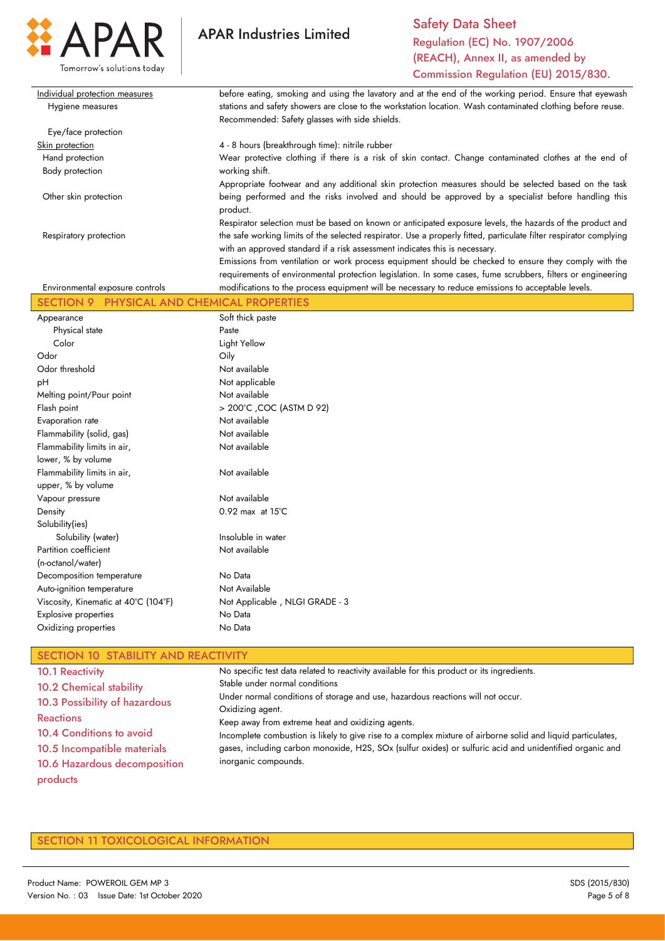

Safety Data Sheet Regulation (EC) No. 1907/2006 (REACH), Annex II, as amended by Commission Regulation (EU) 2015/830.

| Individual protection measures  | before eating, smoking and using the lavatory and at the end of the working period. Ensure that eyewash            |
|---------------------------------|--------------------------------------------------------------------------------------------------------------------|
| Hygiene measures                | stations and safety showers are close to the workstation location. Wash contaminated clothing before reuse.        |
|                                 | Recommended: Safety glasses with side shields.                                                                     |
| Eye/face protection             |                                                                                                                    |
| Skin protection                 | 4 - 8 hours (breakthrough time): nitrile rubber                                                                    |
| Hand protection                 | Wear protective clothing if there is a risk of skin contact. Change contaminated clothes at the end of             |
| Body protection                 | working shift.                                                                                                     |
|                                 | Appropriate footwear and any additional skin protection measures should be selected based on the task              |
| Other skin protection           | being performed and the risks involved and should be approved by a specialist before handling this<br>product.     |
|                                 | Respirator selection must be based on known or anticipated exposure levels, the hazards of the product and         |
| Respiratory protection          | the safe working limits of the selected respirator. Use a properly fitted, particulate filter respirator complying |
|                                 | with an approved standard if a risk assessment indicates this is necessary.                                        |
|                                 | Emissions from ventilation or work process equipment should be checked to ensure they comply with the              |
|                                 | requirements of environmental protection legislation. In some cases, fume scrubbers, filters or engineering        |
| Environmental exposure controls | modifications to the process equipment will be necessary to reduce emissions to acceptable levels.                 |

| 9                                    | RTIES                          |  |  |
|--------------------------------------|--------------------------------|--|--|
| Appearance                           | Soft thick paste               |  |  |
| Physical state                       | Paste                          |  |  |
| Color                                | Light Yellow                   |  |  |
| Odor                                 | Oily                           |  |  |
| Odor threshold                       | Not available                  |  |  |
| рH                                   | Not applicable                 |  |  |
| Melting point/Pour point             | Not available                  |  |  |
| Flash point                          | > 200°C , COC (ASTM D 92)      |  |  |
| Evaporation rate                     | Not available                  |  |  |
| Flammability (solid, gas)            | Not available                  |  |  |
| Flammability limits in air,          | Not available                  |  |  |
| lower, % by volume                   |                                |  |  |
| Flammability limits in air,          | Not available                  |  |  |
| upper, % by volume                   |                                |  |  |
| Vapour pressure                      | Not available                  |  |  |
| Density                              | $0.92$ max at $15^{\circ}$ C   |  |  |
| Solubility(ies)                      |                                |  |  |
| Solubility (water)                   | Insoluble in water             |  |  |
| Partition coefficient                | Not available                  |  |  |
| (n-octanol/water)                    |                                |  |  |
| Decomposition temperature            | No Data                        |  |  |
| Auto-ignition temperature            | Not Available                  |  |  |
| Viscosity, Kinematic at 40°C (104°F) | Not Applicable, NLGI GRADE - 3 |  |  |
| <b>Explosive properties</b>          | No Data                        |  |  |
| Oxidizing properties                 | No Data                        |  |  |
|                                      |                                |  |  |

# SECTION 10 STABILITY AND REACTIVITY

| <b>10.1 Reactivity</b>         | No specific test data related to reactivity available for this product or its ingredients.                   |
|--------------------------------|--------------------------------------------------------------------------------------------------------------|
| <b>10.2 Chemical stability</b> | Stable under normal conditions                                                                               |
| 10.3 Possibility of hazardous  | Under normal conditions of storage and use, hazardous reactions will not occur.                              |
|                                | Oxidizing agent.                                                                                             |
| <b>Reactions</b>               | Keep away from extreme heat and oxidizing agents.                                                            |
| 10.4 Conditions to avoid       | Incomplete combustion is likely to give rise to a complex mixture of airborne solid and liquid particulates, |
| 10.5 Incompatible materials    | gases, including carbon monoxide, H2S, SOx (sulfur oxides) or sulfuric acid and unidentified organic and     |
| 10.6 Hazardous decomposition   | inorganic compounds.                                                                                         |
| products                       |                                                                                                              |

## SECTION 11 TOXICOLOGICAL INFORMATION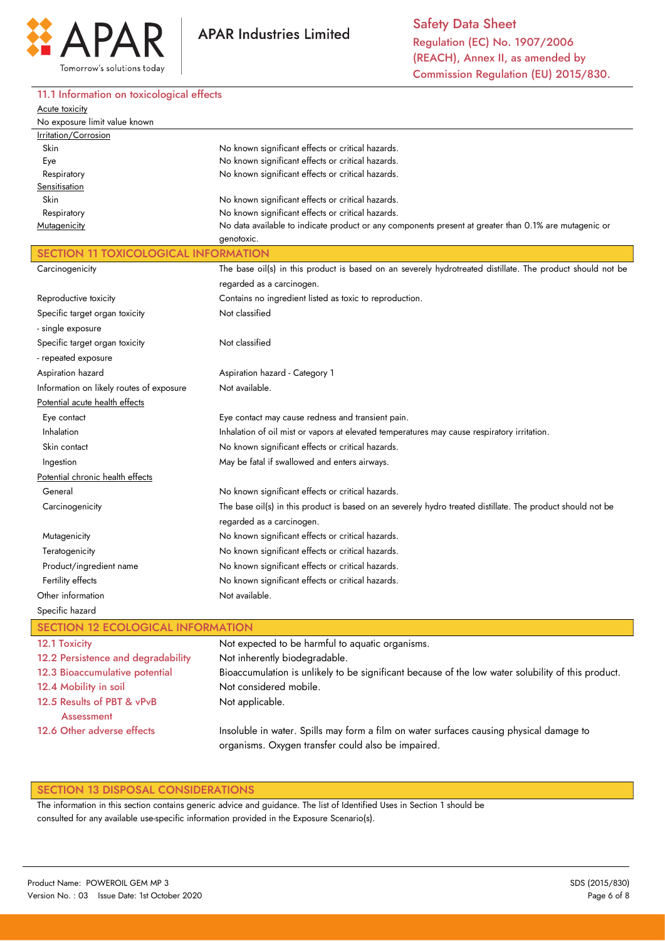

11.1 Information on toxicological effects

#### Acute toxicity No exposure limit value known Irritation/Corrosion Skin Eye Respiratory **Sensitisation**  Skin Respiratory **Mutagenicity** No known significant effects or critical hazards. No known significant effects or critical hazards. No known significant effects or critical hazards. No known significant effects or critical hazards. No known significant effects or critical hazards. No data available to indicate product or any components present at greater than 0.1% are mutagenic or genotoxic. SECTION 11 TOXICOLOGICAL INFORMATION **Carcinogenicity** Reproductive toxicity Specific target organ toxicity - single exposure Specific target organ toxicity - repeated exposure Aspiration hazard Information on likely routes of exposure Potential acute health effects Eye contact Inhalation Skin contact Ingestion Potential chronic health effects General **Carcinogenicity Mutagenicity Teratogenicity**  Product/ingredient name Fertility effects Other information Specific hazard The base oil(s) in this product is based on an severely hydrotreated distillate. The product should not be regarded as a carcinogen. Contains no ingredient listed as toxic to reproduction. Not classified Not classified Aspiration hazard - Category 1 Not available. Eye contact may cause redness and transient pain. Inhalation of oil mist or vapors at elevated temperatures may cause respiratory irritation. No known significant effects or critical hazards. May be fatal if swallowed and enters airways. No known significant effects or critical hazards. The base oil(s) in this product is based on an severely hydro treated distillate. The product should not be regarded as a carcinogen. No known significant effects or critical hazards. No known significant effects or critical hazards. No known significant effects or critical hazards. No known significant effects or critical hazards. Not available. SECTION 12 ECOLOGICAL INFORMATION 12.1 Toxicity 12.2 Persistence and degradability 12.3 Bioaccumulative potential 12.4 Mobility in soil 12.5 Results of PBT & vPvB **Assessment** Not expected to be harmful to aquatic organisms. Not inherently biodegradable. Bioaccumulation is unlikely to be significant because of the low water solubility of this product. Not considered mobile. Not applicable.

Insoluble in water. Spills may form a film on water surfaces causing physical damage to organisms. Oxygen transfer could also be impaired.

### SECTION 13 DISPOSAL CONSIDERATIONS

The information in this section contains generic advice and guidance. The list of Identified Uses in Section 1 should be consulted for any available use-specific information provided in the Exposure Scenario(s).

12.6 Other adverse effects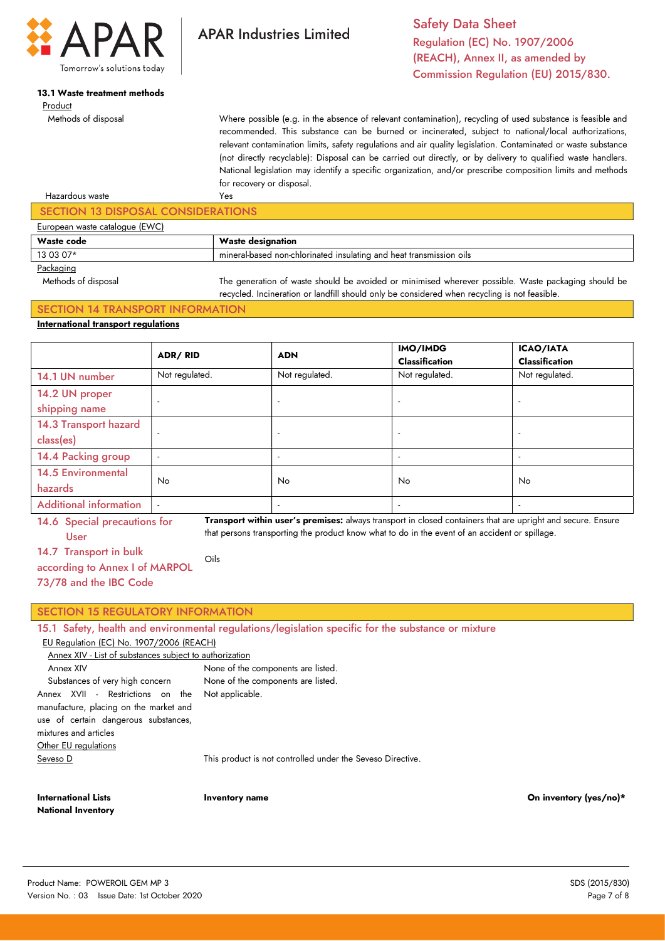

# 13.1 Waste treatment methods

# Product

Methods of disposal

Safety Data Sheet Regulation (EC) No. 1907/2006 (REACH), Annex II, as amended by Commission Regulation (EU) 2015/830.

Where possible (e.g. in the absence of relevant contamination), recycling of used substance is feasible and recommended. This substance can be burned or incinerated, subject to national/local authorizations, relevant contamination limits, safety regulations and air quality legislation. Contaminated or waste substance (not directly recyclable): Disposal can be carried out directly, or by delivery to qualified waste handlers. National legislation may identify a specific organization, and/or prescribe composition limits and methods for recovery or disposal.

# Yes SECTION 13 DISPOSAL CONSIDERATIONS European waste catalogue (EWC)

**APAR Industries Limited** 

| <b>Waste code</b> | Waste designation                                                   |
|-------------------|---------------------------------------------------------------------|
| 13 03 07*         | mineral-based non-chlorinated insulating and heat transmission oils |
| Packaging         |                                                                     |

Hazardous waste

 Methods of disposal The generation of waste should be avoided or minimised wherever possible. Waste packaging should be recycled. Incineration or landfill should only be considered when recycling is not feasible.

### SECTION 14 TRANSPORT INFORMATION International transport regulations

|                               | <b>ADR/RID</b>           | <b>ADN</b>               | IMO/IMDG<br><b>Classification</b> | <b>ICAO/IATA</b><br><b>Classification</b> |
|-------------------------------|--------------------------|--------------------------|-----------------------------------|-------------------------------------------|
| 14.1 UN number                | Not regulated.           | Not regulated.           | Not regulated.                    | Not regulated.                            |
| 14.2 UN proper                |                          | $\overline{a}$           | $\overline{a}$                    |                                           |
| shipping name                 |                          |                          |                                   |                                           |
| 14.3 Transport hazard         |                          | $\overline{\phantom{a}}$ | $\overline{\phantom{a}}$          | $\overline{a}$                            |
| class(es)                     |                          |                          |                                   |                                           |
| 14.4 Packing group            |                          | $\overline{a}$           | $\overline{a}$                    | $\overline{a}$                            |
| <b>14.5 Environmental</b>     | <b>No</b>                | No.                      | No                                | No                                        |
| hazards                       |                          |                          |                                   |                                           |
| <b>Additional information</b> | $\overline{\phantom{a}}$ | $\overline{\phantom{a}}$ | $\overline{\phantom{a}}$          | $\overline{\phantom{a}}$                  |

14.6 Special precautions for User

Transport within user's premises: always transport in closed containers that are upright and secure. Ensure that persons transporting the product know what to do in the event of an accident or spillage.

14.7 Transport in bulk

Oils

according to Annex I of MARPOL 73/78 and the IBC Code

### SECTION 15 REGULATORY INFORMATION

|  |  |  | 15.1 Safety, health and environmental regulations/legislation specific for the substance or mixture |  |  |  |  |  |  |  |  |
|--|--|--|-----------------------------------------------------------------------------------------------------|--|--|--|--|--|--|--|--|
|--|--|--|-----------------------------------------------------------------------------------------------------|--|--|--|--|--|--|--|--|

### EU Regulation (EC) No. 1907/2006 (REACH)

| Annex XIV - List of substances subject to authorization                                                                                                                             |                                                            |  |  |  |
|-------------------------------------------------------------------------------------------------------------------------------------------------------------------------------------|------------------------------------------------------------|--|--|--|
| Annex XIV                                                                                                                                                                           | None of the components are listed.                         |  |  |  |
| Substances of very high concern                                                                                                                                                     | None of the components are listed.                         |  |  |  |
| Annex XVII - Restrictions on the Not-applicable.<br>manufacture, placing on the market and<br>use of certain dangerous substances,<br>mixtures and articles<br>Other EU regulations |                                                            |  |  |  |
| Seveso D                                                                                                                                                                            | This product is not controlled under the Seveso Directive. |  |  |  |
|                                                                                                                                                                                     |                                                            |  |  |  |

International Lists National Inventory

Inventory name On inventory (yes/no)\*